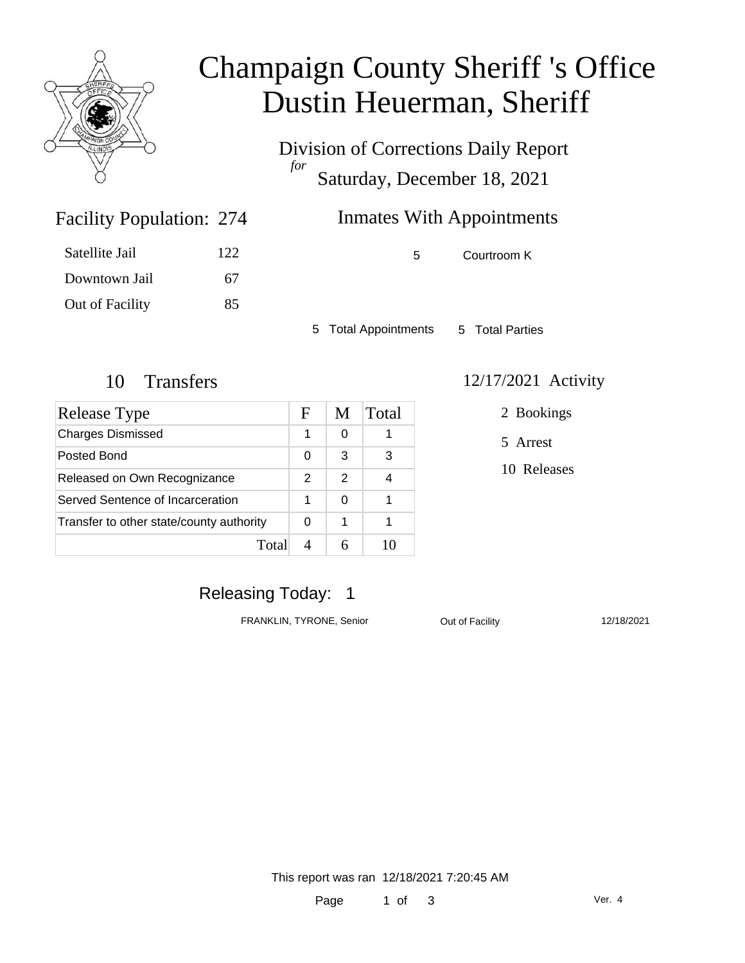

# Champaign County Sheriff 's Office Dustin Heuerman, Sheriff

Division of Corrections Daily Report *for* Saturday, December 18, 2021

## Facility Population: 274

| 274 | <b>Inmates With Appointments</b> |  |
|-----|----------------------------------|--|
|     |                                  |  |

5 Courtroom K

5 Total Appointments 5 Total Parties

Satellite Jail 122

Downtown Jail 67

Out of Facility 85

| Release Type                             | F | M | Total |
|------------------------------------------|---|---|-------|
| <b>Charges Dismissed</b>                 |   | 0 |       |
| Posted Bond                              | 0 | 3 | 3     |
| Released on Own Recognizance             | 2 | 2 |       |
| Served Sentence of Incarceration         |   | ∩ |       |
| Transfer to other state/county authority |   | 1 |       |
| Total                                    |   |   |       |

#### 10 Transfers 12/17/2021 Activity

2 Bookings

5 Arrest

10 Releases

## Releasing Today: 1

FRANKLIN, TYRONE, Senior **Out of Facility** 12/18/2021

This report was ran 12/18/2021 7:20:45 AM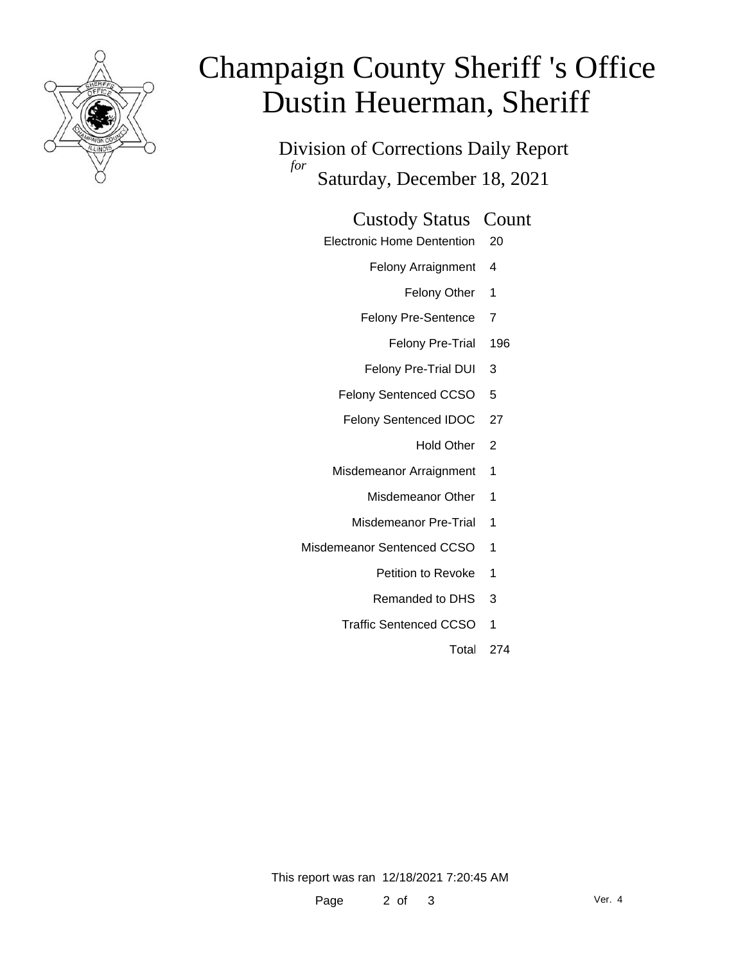

# Champaign County Sheriff 's Office Dustin Heuerman, Sheriff

Division of Corrections Daily Report *for* Saturday, December 18, 2021

#### Custody Status Count

- Electronic Home Dentention 20
	- Felony Arraignment 4
		- Felony Other 1
	- Felony Pre-Sentence 7
		- Felony Pre-Trial 196
	- Felony Pre-Trial DUI 3
	- Felony Sentenced CCSO 5
	- Felony Sentenced IDOC 27
		- Hold Other 2
	- Misdemeanor Arraignment 1
		- Misdemeanor Other 1
		- Misdemeanor Pre-Trial 1
- Misdemeanor Sentenced CCSO 1
	- Petition to Revoke 1
	- Remanded to DHS 3
	- Traffic Sentenced CCSO 1
		- Total 274